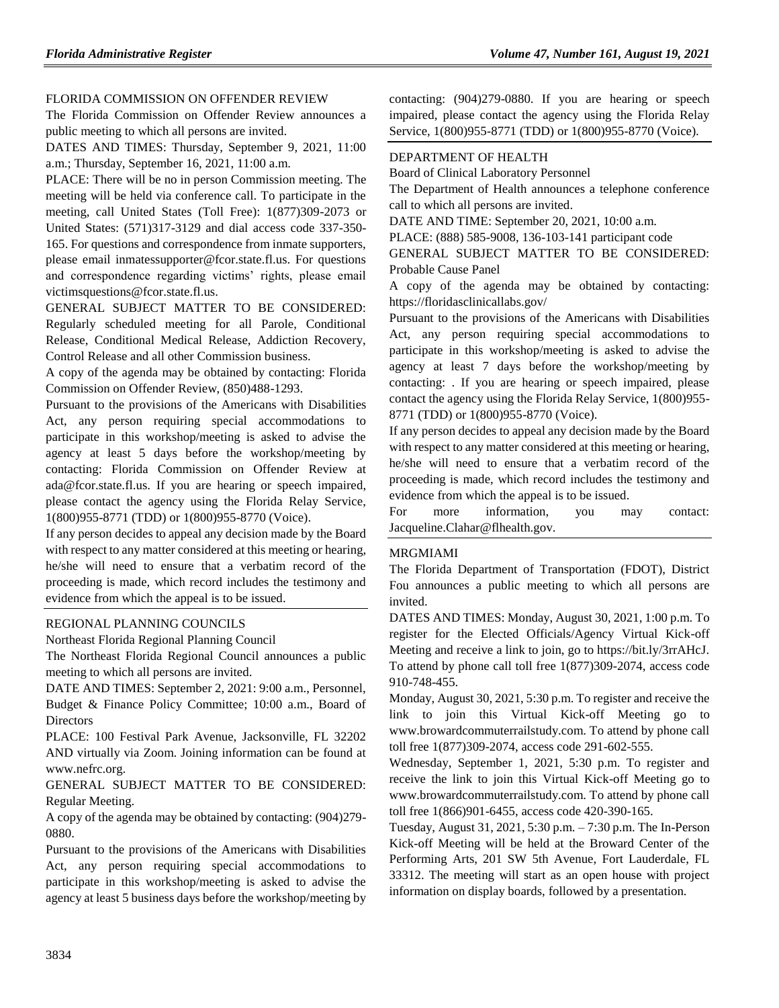#### [FLORIDA COMMISSION ON OFFENDER REVIEW](https://www.flrules.org/gateway/department.asp?id=23)

The Florida Commission on Offender Review announces a public meeting to which all persons are invited.

DATES AND TIMES: Thursday, September 9, 2021, 11:00 a.m.; Thursday, September 16, 2021, 11:00 a.m.

PLACE: There will be no in person Commission meeting. The meeting will be held via conference call. To participate in the meeting, call United States (Toll Free): 1(877)309-2073 or United States: (571)317-3129 and dial access code 337-350- 165. For questions and correspondence from inmate supporters, please email inmatessupporter@fcor.state.fl.us. For questions and correspondence regarding victims' rights, please email victimsquestions@fcor.state.fl.us.

GENERAL SUBJECT MATTER TO BE CONSIDERED: Regularly scheduled meeting for all Parole, Conditional Release, Conditional Medical Release, Addiction Recovery, Control Release and all other Commission business.

A copy of the agenda may be obtained by contacting: Florida Commission on Offender Review, (850)488-1293.

Pursuant to the provisions of the Americans with Disabilities Act, any person requiring special accommodations to participate in this workshop/meeting is asked to advise the agency at least 5 days before the workshop/meeting by contacting: Florida Commission on Offender Review at ada@fcor.state.fl.us. If you are hearing or speech impaired, please contact the agency using the Florida Relay Service, 1(800)955-8771 (TDD) or 1(800)955-8770 (Voice).

If any person decides to appeal any decision made by the Board with respect to any matter considered at this meeting or hearing, he/she will need to ensure that a verbatim record of the proceeding is made, which record includes the testimony and evidence from which the appeal is to be issued.

#### [REGIONAL PLANNING COUNCILS](https://www.flrules.org/gateway/department.asp?id=29)

[Northeast Florida Regional Planning Council](https://www.flrules.org/gateway/organization.asp?id=60)

The Northeast Florida Regional Council announces a public meeting to which all persons are invited.

DATE AND TIMES: September 2, 2021: 9:00 a.m., Personnel, Budget & Finance Policy Committee; 10:00 a.m., Board of **Directors** 

PLACE: 100 Festival Park Avenue, Jacksonville, FL 32202 AND virtually via Zoom. Joining information can be found at www.nefrc.org.

GENERAL SUBJECT MATTER TO BE CONSIDERED: Regular Meeting.

A copy of the agenda may be obtained by contacting: (904)279- 0880.

Pursuant to the provisions of the Americans with Disabilities Act, any person requiring special accommodations to participate in this workshop/meeting is asked to advise the agency at least 5 business days before the workshop/meeting by contacting: (904)279-0880. If you are hearing or speech impaired, please contact the agency using the Florida Relay Service, 1(800)955-8771 (TDD) or 1(800)955-8770 (Voice).

### [DEPARTMENT OF HEALTH](https://www.flrules.org/gateway/department.asp?id=64)

[Board of Clinical Laboratory Personnel](https://www.flrules.org/gateway/organization.asp?id=322)

The Department of Health announces a telephone conference call to which all persons are invited.

DATE AND TIME: September 20, 2021, 10:00 a.m.

PLACE: (888) 585-9008, 136-103-141 participant code

GENERAL SUBJECT MATTER TO BE CONSIDERED: Probable Cause Panel

A copy of the agenda may be obtained by contacting: https://floridasclinicallabs.gov/

Pursuant to the provisions of the Americans with Disabilities Act, any person requiring special accommodations to participate in this workshop/meeting is asked to advise the agency at least 7 days before the workshop/meeting by contacting: . If you are hearing or speech impaired, please contact the agency using the Florida Relay Service, 1(800)955- 8771 (TDD) or 1(800)955-8770 (Voice).

If any person decides to appeal any decision made by the Board with respect to any matter considered at this meeting or hearing, he/she will need to ensure that a verbatim record of the proceeding is made, which record includes the testimony and evidence from which the appeal is to be issued.

For more information, you may contact: Jacqueline.Clahar@flhealth.gov.

### [MRGMIAMI](https://www.flrules.org/gateway/organization.asp?id=981)

The Florida Department of Transportation (FDOT), District Fou announces a public meeting to which all persons are invited.

DATES AND TIMES: Monday, August 30, 2021, 1:00 p.m. To register for the Elected Officials/Agency Virtual Kick-off Meeting and receive a link to join, go to https://bit.ly/3rrAHcJ. To attend by phone call toll free 1(877)309-2074, access code 910-748-455.

Monday, August 30, 2021, 5:30 p.m. To register and receive the link to join this Virtual Kick-off Meeting go to www.browardcommuterrailstudy.com. To attend by phone call toll free 1(877)309-2074, access code 291-602-555.

Wednesday, September 1, 2021, 5:30 p.m. To register and receive the link to join this Virtual Kick-off Meeting go to www.browardcommuterrailstudy.com. To attend by phone call toll free 1(866)901-6455, access code 420-390-165.

Tuesday, August 31, 2021, 5:30 p.m. – 7:30 p.m. The In-Person Kick-off Meeting will be held at the Broward Center of the Performing Arts, 201 SW 5th Avenue, Fort Lauderdale, FL 33312. The meeting will start as an open house with project information on display boards, followed by a presentation.